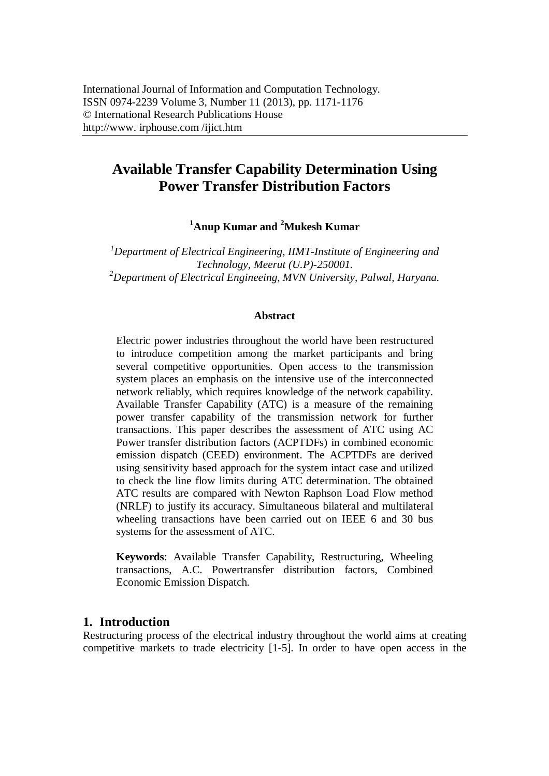# **Available Transfer Capability Determination Using Power Transfer Distribution Factors**

**<sup>1</sup>Anup Kumar and <sup>2</sup>Mukesh Kumar**

*<sup>1</sup>Department of Electrical Engineering, IIMT-Institute of Engineering and Technology, Meerut (U.P)-250001. <sup>2</sup>Department of Electrical Engineeing, MVN University, Palwal, Haryana.*

#### **Abstract**

Electric power industries throughout the world have been restructured to introduce competition among the market participants and bring several competitive opportunities. Open access to the transmission system places an emphasis on the intensive use of the interconnected network reliably, which requires knowledge of the network capability. Available Transfer Capability (ATC) is a measure of the remaining power transfer capability of the transmission network for further transactions. This paper describes the assessment of ATC using AC Power transfer distribution factors (ACPTDFs) in combined economic emission dispatch (CEED) environment. The ACPTDFs are derived using sensitivity based approach for the system intact case and utilized to check the line flow limits during ATC determination. The obtained ATC results are compared with Newton Raphson Load Flow method (NRLF) to justify its accuracy. Simultaneous bilateral and multilateral wheeling transactions have been carried out on IEEE 6 and 30 bus systems for the assessment of ATC.

**Keywords**: Available Transfer Capability, Restructuring, Wheeling transactions, A.C. Powertransfer distribution factors, Combined Economic Emission Dispatch.

### **1. Introduction**

Restructuring process of the electrical industry throughout the world aims at creating competitive markets to trade electricity [1-5]. In order to have open access in the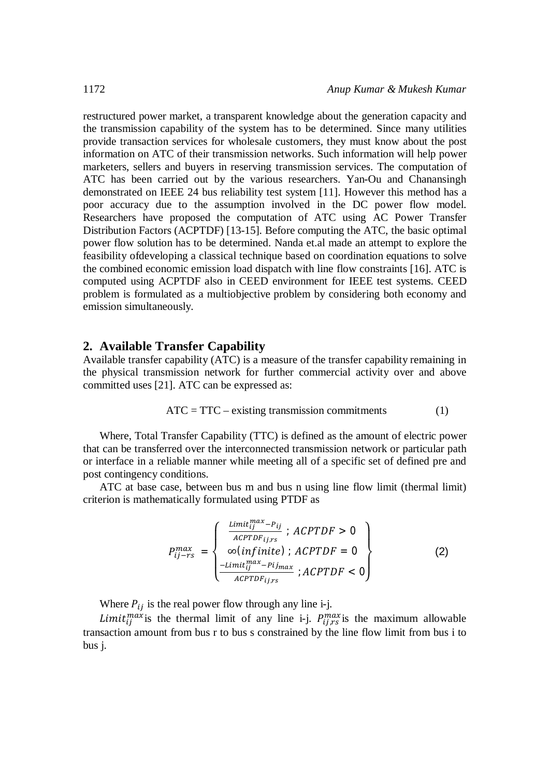restructured power market, a transparent knowledge about the generation capacity and the transmission capability of the system has to be determined. Since many utilities provide transaction services for wholesale customers, they must know about the post information on ATC of their transmission networks. Such information will help power marketers, sellers and buyers in reserving transmission services. The computation of ATC has been carried out by the various researchers. Yan-Ou and Chanansingh demonstrated on IEEE 24 bus reliability test system [11]. However this method has a poor accuracy due to the assumption involved in the DC power flow model. Researchers have proposed the computation of ATC using AC Power Transfer Distribution Factors (ACPTDF) [13-15]. Before computing the ATC, the basic optimal power flow solution has to be determined. Nanda et.al made an attempt to explore the feasibility ofdeveloping a classical technique based on coordination equations to solve the combined economic emission load dispatch with line flow constraints [16]. ATC is computed using ACPTDF also in CEED environment for IEEE test systems. CEED problem is formulated as a multiobjective problem by considering both economy and emission simultaneously.

#### **2. Available Transfer Capability**

Available transfer capability (ATC) is a measure of the transfer capability remaining in the physical transmission network for further commercial activity over and above committed uses [21]. ATC can be expressed as:

$$
ATC = TTC - existing transmission commitments \t(1)
$$

Where, Total Transfer Capability (TTC) is defined as the amount of electric power that can be transferred over the interconnected transmission network or particular path or interface in a reliable manner while meeting all of a specific set of defined pre and post contingency conditions.

ATC at base case, between bus m and bus n using line flow limit (thermal limit) criterion is mathematically formulated using PTDF as

$$
P_{ij-rs}^{max} = \begin{cases} \frac{\text{Limit}_{ij}^{max} - P_{ij}}{\text{ACPTDF}_{ij,rs}}; \text{ACPTDF} > 0\\ \infty (\text{infinite}); \text{ACPTDF} = 0\\ \frac{-\text{Limit}_{ij}^{max} - \text{Pij}_{max}}{\text{ACPTDF}_{ij,rs}}; \text{ACPTDF} < 0 \end{cases}
$$
(2)

Where  $P_{ij}$  is the real power flow through any line i-j.

*Limit*<sub>ij</sub><sup>max</sup> is the thermal limit of any line i-j.  $P_{ij,rs}^{max}$  is the maximum allowable transaction amount from bus r to bus s constrained by the line flow limit from bus i to bus j.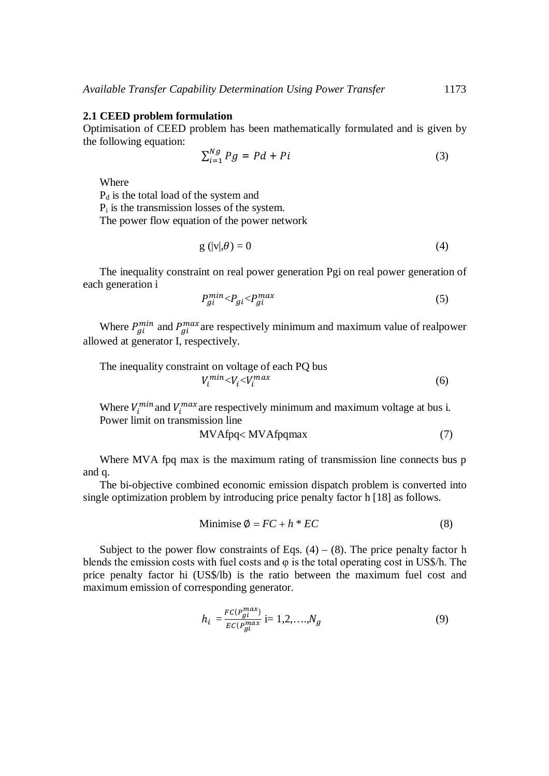#### **2.1 CEED problem formulation**

Optimisation of CEED problem has been mathematically formulated and is given by the following equation:

$$
\sum_{i=1}^{Ng} Pg = Pd + Pi \tag{3}
$$

Where

P<sup>d</sup> is the total load of the system and P<sup>i</sup> is the transmission losses of the system. The power flow equation of the power network

$$
g\left(|v|,\theta\right)=0\tag{4}
$$

The inequality constraint on real power generation Pgi on real power generation of each generation i

$$
P_{gi}^{min} < P_{gi} < P_{gi}^{max} \tag{5}
$$

Where  $P_{gi}^{min}$  and  $P_{gi}^{max}$  are respectively minimum and maximum value of realpower allowed at generator I, respectively.

The inequality constraint on voltage of each PQ bus  

$$
V_i^{min} < V_i < V_i^{max}
$$
 (6)

Where  $V_i^{min}$  and  $V_i^{max}$  are respectively minimum and maximum voltage at bus i. Power limit on transmission line

$$
MVAfpq < MVAfpqmax \tag{7}
$$

Where MVA fpq max is the maximum rating of transmission line connects bus p and q.

The bi-objective combined economic emission dispatch problem is converted into single optimization problem by introducing price penalty factor h [18] as follows.

Minimise 
$$
\emptyset = FC + h * EC
$$
 (8)

Subject to the power flow constraints of Eqs.  $(4) - (8)$ . The price penalty factor h blends the emission costs with fuel costs and  $\varphi$  is the total operating cost in US\$/h. The price penalty factor hi (US\$/lb) is the ratio between the maximum fuel cost and maximum emission of corresponding generator.

$$
h_i = \frac{FC(P_{gi}^{max})}{EC(P_{gi}^{max}} \text{ i}=1,2,\ldots,N_g \tag{9}
$$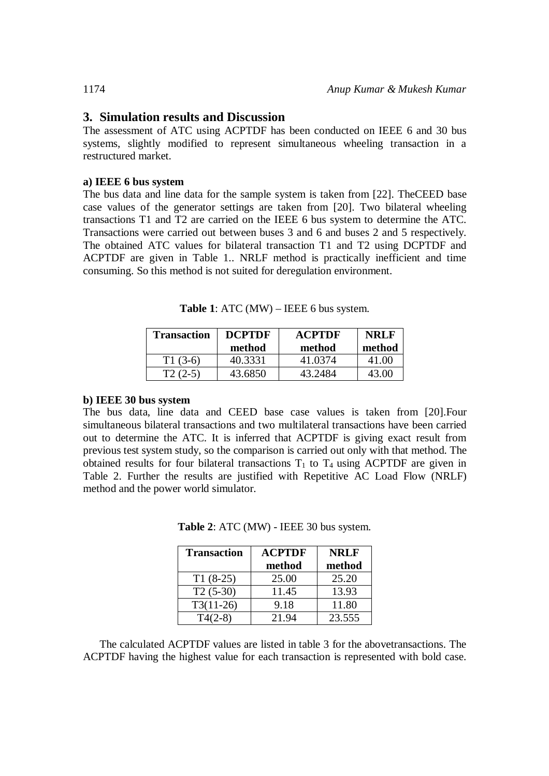## **3. Simulation results and Discussion**

The assessment of ATC using ACPTDF has been conducted on IEEE 6 and 30 bus systems, slightly modified to represent simultaneous wheeling transaction in a restructured market.

#### **a) IEEE 6 bus system**

The bus data and line data for the sample system is taken from [22]. TheCEED base case values of the generator settings are taken from [20]. Two bilateral wheeling transactions T1 and T2 are carried on the IEEE 6 bus system to determine the ATC. Transactions were carried out between buses 3 and 6 and buses 2 and 5 respectively. The obtained ATC values for bilateral transaction T1 and T2 using DCPTDF and ACPTDF are given in Table 1.. NRLF method is practically inefficient and time consuming. So this method is not suited for deregulation environment.

**Table 1**: ATC (MW) – IEEE 6 bus system.

| Transaction | <b>DCPTDF</b> | <b>ACPTDF</b> | <b>NRLF</b> |
|-------------|---------------|---------------|-------------|
|             | method        | method        | method      |
| $T1(3-6)$   | 40.3331       | 41.0374       | 41.00       |
| $(2-5)$     | 43.6850       | 43.2484       | 43.OO       |

#### **b) IEEE 30 bus system**

The bus data, line data and CEED base case values is taken from [20].Four simultaneous bilateral transactions and two multilateral transactions have been carried out to determine the ATC. It is inferred that ACPTDF is giving exact result from previous test system study, so the comparison is carried out only with that method. The obtained results for four bilateral transactions  $T_1$  to  $T_4$  using ACPTDF are given in Table 2. Further the results are justified with Repetitive AC Load Flow (NRLF) method and the power world simulator.

| <b>Transaction</b> | <b>ACPTDF</b> | <b>NRLF</b> |
|--------------------|---------------|-------------|
|                    | method        | method      |
| $T1(8-25)$         | 25.00         | 25.20       |
| $T2(5-30)$         | 11.45         | 13.93       |
| $T3(11-26)$        | 9.18          | 11.80       |
| $T4(2-8)$          | 21.94         | 23.555      |

**Table 2**: ATC (MW) - IEEE 30 bus system.

The calculated ACPTDF values are listed in table 3 for the abovetransactions. The ACPTDF having the highest value for each transaction is represented with bold case.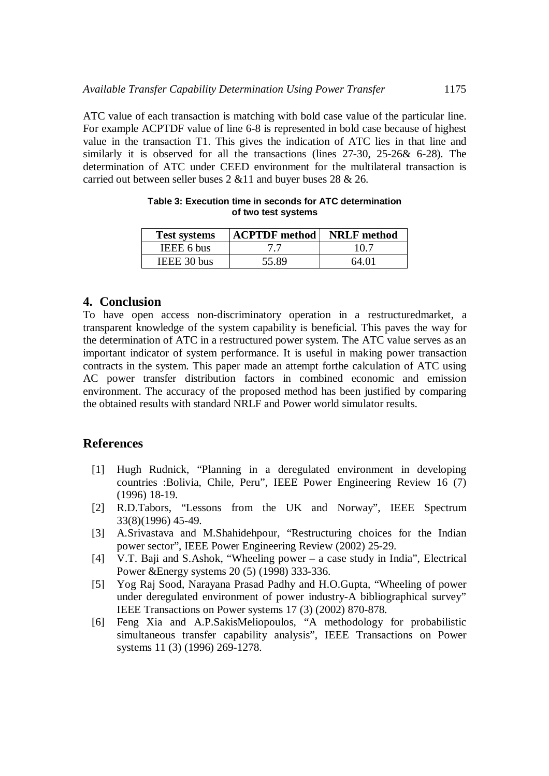ATC value of each transaction is matching with bold case value of the particular line. For example ACPTDF value of line 6-8 is represented in bold case because of highest value in the transaction T1. This gives the indication of ATC lies in that line and similarly it is observed for all the transactions (lines 27-30, 25-26& 6-28). The determination of ATC under CEED environment for the multilateral transaction is carried out between seller buses 2 &11 and buyer buses 28 & 26.

| <b>Test systems</b> | <b>ACPTDF</b> method | <b>NRLF</b> method |
|---------------------|----------------------|--------------------|
| IEEE 6 bus          |                      | 10.7               |
| IEEE 30 bus         | 55.89                | 64.01              |

**Table 3: Execution time in seconds for ATC determination of two test systems**

# **4. Conclusion**

To have open access non-discriminatory operation in a restructuredmarket, a transparent knowledge of the system capability is beneficial. This paves the way for the determination of ATC in a restructured power system. The ATC value serves as an important indicator of system performance. It is useful in making power transaction contracts in the system. This paper made an attempt forthe calculation of ATC using AC power transfer distribution factors in combined economic and emission environment. The accuracy of the proposed method has been justified by comparing the obtained results with standard NRLF and Power world simulator results.

# **References**

- [1] Hugh Rudnick, "Planning in a deregulated environment in developing countries :Bolivia, Chile, Peru", IEEE Power Engineering Review 16 (7) (1996) 18-19.
- [2] R.D.Tabors, "Lessons from the UK and Norway", IEEE Spectrum 33(8)(1996) 45-49.
- [3] A.Srivastava and M.Shahidehpour, "Restructuring choices for the Indian power sector", IEEE Power Engineering Review (2002) 25-29.
- [4] V.T. Baji and S.Ashok, "Wheeling power a case study in India", Electrical Power &Energy systems 20 (5) (1998) 333-336.
- [5] Yog Raj Sood, Narayana Prasad Padhy and H.O.Gupta, "Wheeling of power under deregulated environment of power industry-A bibliographical survey" IEEE Transactions on Power systems 17 (3) (2002) 870-878.
- [6] Feng Xia and A.P.SakisMeliopoulos, "A methodology for probabilistic simultaneous transfer capability analysis", IEEE Transactions on Power systems 11 (3) (1996) 269-1278.